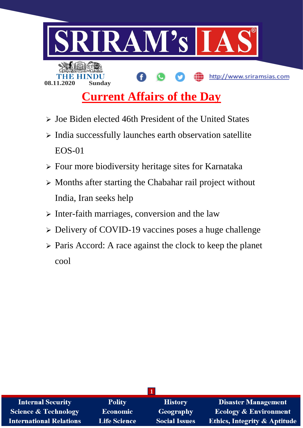

# **Current Affairs of the Day**

- $\triangleright$  Joe Biden elected 46th President of the United States
- $\triangleright$  India successfully launches earth observation satellite EOS-01
- Four more biodiversity heritage sites for Karnataka
- $\triangleright$  Months after starting the Chabahar rail project without India, Iran seeks help
- $\triangleright$  Inter-faith marriages, conversion and the law
- Delivery of COVID-19 vaccines poses a huge challenge
- Paris Accord: A race against the clock to keep the planet cool

| <b>Internal Security</b>        | <b>Polity</b>       | <b>History</b>       | <b>Disaster Management</b>              |  |
|---------------------------------|---------------------|----------------------|-----------------------------------------|--|
| <b>Science &amp; Technology</b> | <b>Economic</b>     | <b>Geography</b>     | <b>Ecology &amp; Environment</b>        |  |
| <b>International Relations</b>  | <b>Life Science</b> | <b>Social Issues</b> | <b>Ethics, Integrity &amp; Aptitude</b> |  |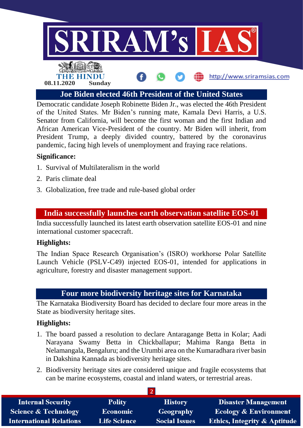

**Joe Biden elected 46th President of the United States**

Democratic candidate Joseph Robinette Biden Jr., was elected the 46th President of the United States. Mr Biden's running mate, Kamala Devi Harris, a U.S. Senator from California, will become the first woman and the first Indian and African American Vice-President of the country. Mr Biden will inherit, from President Trump, a deeply divided country, battered by the coronavirus pandemic, facing high levels of unemployment and fraying race relations.

## **Significance:**

- 1. Survival of Multilateralism in the world
- 2. Paris climate deal
- 3. Globalization, free trade and rule-based global order

## **India successfully launches earth observation satellite EOS-01**

India successfully launched its latest earth observation satellite EOS-01 and nine international customer spacecraft.

## **Highlights:**

The Indian Space Research Organisation's (ISRO) workhorse Polar Satellite Launch Vehicle (PSLV-C49) injected EOS-01, intended for applications in agriculture, forestry and disaster management support.

# **Four more biodiversity heritage sites for Karnataka**

The Karnataka Biodiversity Board has decided to declare four more areas in the State as biodiversity heritage sites.

## **Highlights:**

- 1. The board passed a resolution to declare Antaragange Betta in Kolar; Aadi Narayana Swamy Betta in Chickballapur; Mahima Ranga Betta in Nelamangala, Bengaluru; and the Urumbi area on the Kumaradhara river basin in Dakshina Kannada as biodiversity heritage sites.
- 2. Biodiversity heritage sites are considered unique and fragile ecosystems that can be marine ecosystems, coastal and inland waters, or terrestrial areas.

| <b>Internal Security</b>        | <b>Polity</b>       | <b>History</b>       | <b>Disaster Management</b>              |  |
|---------------------------------|---------------------|----------------------|-----------------------------------------|--|
| <b>Science &amp; Technology</b> | <b>Economic</b>     | Geography            | <b>Ecology &amp; Environment</b>        |  |
| <b>International Relations</b>  | <b>Life Science</b> | <b>Social Issues</b> | <b>Ethics, Integrity &amp; Aptitude</b> |  |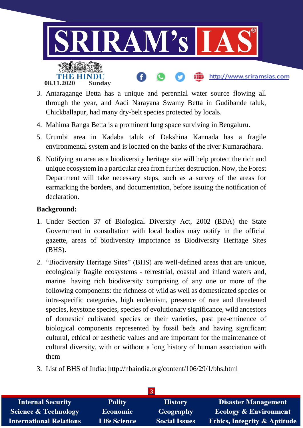

- 3. Antaragange Betta has a unique and perennial water source flowing all through the year, and Aadi Narayana Swamy Betta in Gudibande taluk, Chickballapur, had many dry-belt species protected by locals.
- 4. Mahima Ranga Betta is a prominent lung space surviving in Bengaluru.
- 5. Urumbi area in Kadaba taluk of Dakshina Kannada has a fragile environmental system and is located on the banks of the river Kumaradhara.
- 6. Notifying an area as a biodiversity heritage site will help protect the rich and unique ecosystem in a particular area from further destruction. Now, the Forest Department will take necessary steps, such as a survey of the areas for earmarking the borders, and documentation, before issuing the notification of declaration.

# **Background:**

- 1. Under Section 37 of Biological Diversity Act, 2002 (BDA) the State Government in consultation with local bodies may notify in the official gazette, areas of biodiversity importance as Biodiversity Heritage Sites (BHS).
- 2. "Biodiversity Heritage Sites" (BHS) are well-defined areas that are unique, ecologically fragile ecosystems - terrestrial, coastal and inland waters and, marine having rich biodiversity comprising of any one or more of the following components: the richness of wild as well as domesticated species or intra-specific categories, high endemism, presence of rare and threatened species, keystone species, species of evolutionary significance, wild ancestors of domestic/ cultivated species or their varieties, past pre-eminence of biological components represented by fossil beds and having significant cultural, ethical or aesthetic values and are important for the maintenance of cultural diversity, with or without a long history of human association with them
- 3. List of BHS of India: <http://nbaindia.org/content/106/29/1/bhs.html>

| <b>Internal Security</b>        | <b>Polity</b>       | <b>History</b>       | <b>Disaster Management</b>              |  |
|---------------------------------|---------------------|----------------------|-----------------------------------------|--|
| <b>Science &amp; Technology</b> | <b>Economic</b>     | Geography            | <b>Ecology &amp; Environment</b>        |  |
| <b>International Relations</b>  | <b>Life Science</b> | <b>Social Issues</b> | <b>Ethics, Integrity &amp; Aptitude</b> |  |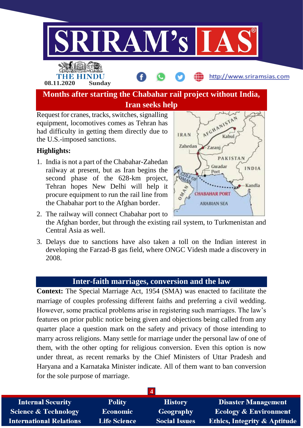

## **Highlights:**

the U.S.-imposed sanctions.

1. India is not a part of the Chabahar-Zahedan railway at present, but as Iran begins the second phase of the 628-km project, Tehran hopes New Delhi will help it procure equipment to run the rail line from the Chabahar port to the Afghan border.



- 2. The railway will connect Chabahar port to the Afghan border, but through the existing rail system, to Turkmenistan and Central Asia as well.
- 3. Delays due to sanctions have also taken a toll on the Indian interest in developing the Farzad-B gas field, where ONGC Videsh made a discovery in 2008.

## **Inter-faith marriages, conversion and the law**

**Context:** The Special Marriage Act, 1954 (SMA) was enacted to facilitate the marriage of couples professing different faiths and preferring a civil wedding. However, some practical problems arise in registering such marriages. The law's features on prior public notice being given and objections being called from any quarter place a question mark on the safety and privacy of those intending to marry across religions. Many settle for marriage under the personal law of one of them, with the other opting for religious conversion. Even this option is now under threat, as recent remarks by the Chief Ministers of Uttar Pradesh and Haryana and a Karnataka Minister indicate. All of them want to ban conversion for the sole purpose of marriage.

| <b>Internal Security</b>        | <b>Polity</b>       | <b>History</b>       | <b>Disaster Management</b>              |  |
|---------------------------------|---------------------|----------------------|-----------------------------------------|--|
| <b>Science &amp; Technology</b> | Economic            | Geography            | <b>Ecology &amp; Environment</b>        |  |
| <b>International Relations</b>  | <b>Life Science</b> | <b>Social Issues</b> | <b>Ethics, Integrity &amp; Aptitude</b> |  |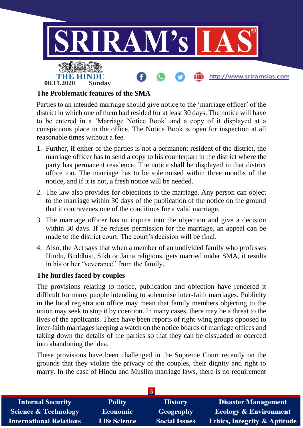

## **The Problematic features of the SMA**

Parties to an intended marriage should give notice to the 'marriage officer' of the district in which one of them had resided for at least 30 days. The notice will have to be entered in a 'Marriage Notice Book' and a copy of it displayed at a conspicuous place in the office. The Notice Book is open for inspection at all reasonable times without a fee.

- 1. Further, if either of the parties is not a permanent resident of the district, the marriage officer has to send a copy to his counterpart in the district where the party has permanent residence. The notice shall be displayed in that district office too. The marriage has to be solemnised within three months of the notice, and if it is not, a fresh notice will be needed.
- 2. The law also provides for objections to the marriage. Any person can object to the marriage within 30 days of the publication of the notice on the ground that it contravenes one of the conditions for a valid marriage.
- 3. The marriage officer has to inquire into the objection and give a decision within 30 days. If he refuses permission for the marriage, an appeal can be made to the district court. The court's decision will be final.
- 4. Also, the Act says that when a member of an undivided family who professes Hindu, Buddhist, Sikh or Jaina religions, gets married under SMA, it results in his or her "severance" from the family.

#### **The hurdles faced by couples**

The provisions relating to notice, publication and objection have rendered it difficult for many people intending to solemnise inter-faith marriages. Publicity in the local registration office may mean that family members objecting to the union may seek to stop it by coercion. In many cases, there may be a threat to the lives of the applicants. There have been reports of right-wing groups opposed to inter-faith marriages keeping a watch on the notice boards of marriage offices and taking down the details of the parties so that they can be dissuaded or coerced into abandoning the idea.

These provisions have been challenged in the Supreme Court recently on the grounds that they violate the privacy of the couples, their dignity and right to marry. In the case of Hindu and Muslim marriage laws, there is no requirement

| <b>Internal Security</b>        | <b>Polity</b>       | <b>History</b>       | <b>Disaster Management</b>              |
|---------------------------------|---------------------|----------------------|-----------------------------------------|
| <b>Science &amp; Technology</b> | Economic            | Geography            | <b>Ecology &amp; Environment</b>        |
| <b>International Relations</b>  | <b>Life Science</b> | <b>Social Issues</b> | <b>Ethics, Integrity &amp; Aptitude</b> |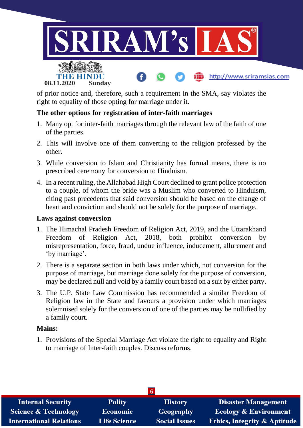

of prior notice and, therefore, such a requirement in the SMA, say violates the right to equality of those opting for marriage under it.

## **The other options for registration of inter-faith marriages**

- 1. Many opt for inter-faith marriages through the relevant law of the faith of one of the parties.
- 2. This will involve one of them converting to the religion professed by the other.
- 3. While conversion to Islam and Christianity has formal means, there is no prescribed ceremony for conversion to Hinduism.
- 4. In a recent ruling, the Allahabad High Court declined to grant police protection to a couple, of whom the bride was a Muslim who converted to Hinduism, citing past precedents that said conversion should be based on the change of heart and conviction and should not be solely for the purpose of marriage.

#### **Laws against conversion**

- 1. The Himachal Pradesh Freedom of Religion Act, 2019, and the Uttarakhand Freedom of Religion Act, 2018, both prohibit conversion by misrepresentation, force, fraud, undue influence, inducement, allurement and 'by marriage'.
- 2. There is a separate section in both laws under which, not conversion for the purpose of marriage, but marriage done solely for the purpose of conversion, may be declared null and void by a family court based on a suit by either party.
- 3. The U.P. State Law Commission has recommended a similar Freedom of Religion law in the State and favours a provision under which marriages solemnised solely for the conversion of one of the parties may be nullified by a family court.

#### **Mains:**

1. Provisions of the Special Marriage Act violate the right to equality and Right to marriage of Inter-faith couples. Discuss reforms.

| <b>Internal Security</b>        | <b>Polity</b>       | <b>History</b>       | <b>Disaster Management</b>              |  |
|---------------------------------|---------------------|----------------------|-----------------------------------------|--|
| <b>Science &amp; Technology</b> | Economic            | Geography            | <b>Ecology &amp; Environment</b>        |  |
| <b>International Relations</b>  | <b>Life Science</b> | <b>Social Issues</b> | <b>Ethics, Integrity &amp; Aptitude</b> |  |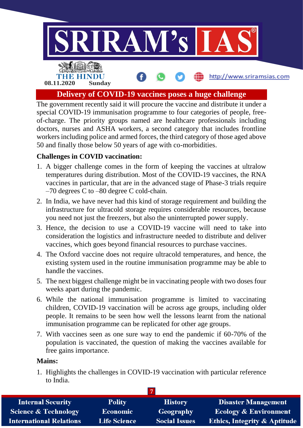

**Delivery of COVID-19 vaccines poses a huge challenge**

The government recently said it will procure the vaccine and distribute it under a special COVID-19 immunisation programme to four categories of people, freeof-charge. The priority groups named are healthcare professionals including doctors, nurses and ASHA workers, a second category that includes frontline workers including police and armed forces, the third category of those aged above 50 and finally those below 50 years of age with co-morbidities.

# **Challenges in COVID vaccination:**

- 1. A bigger challenge comes in the form of keeping the vaccines at ultralow temperatures during distribution. Most of the COVID-19 vaccines, the RNA vaccines in particular, that are in the advanced stage of Phase-3 trials require –70 degrees C to –80 degree C cold-chain.
- 2. In India, we have never had this kind of storage requirement and building the infrastructure for ultracold storage requires considerable resources, because you need not just the freezers, but also the uninterrupted power supply.
- 3. Hence, the decision to use a COVID-19 vaccine will need to take into consideration the logistics and infrastructure needed to distribute and deliver vaccines, which goes beyond financial resources to purchase vaccines.
- 4. The Oxford vaccine does not require ultracold temperatures, and hence, the existing system used in the routine immunisation programme may be able to handle the vaccines.
- 5. The next biggest challenge might be in vaccinating people with two doses four weeks apart during the pandemic.
- 6. While the national immunisation programme is limited to vaccinating children, COVID-19 vaccination will be across age groups, including older people. It remains to be seen how well the lessons learnt from the national immunisation programme can be replicated for other age groups.
- 7. With vaccines seen as one sure way to end the pandemic if 60-70% of the population is vaccinated, the question of making the vaccines available for free gains importance.

#### **Mains:**

1. Highlights the challenges in COVID-19 vaccination with particular reference to India.

| <b>Internal Security</b>        | <b>Polity</b>       | <b>History</b>       | <b>Disaster Management</b>              |  |
|---------------------------------|---------------------|----------------------|-----------------------------------------|--|
| <b>Science &amp; Technology</b> | <b>Economic</b>     | Geography            | <b>Ecology &amp; Environment</b>        |  |
| <b>International Relations</b>  | <b>Life Science</b> | <b>Social Issues</b> | <b>Ethics, Integrity &amp; Aptitude</b> |  |